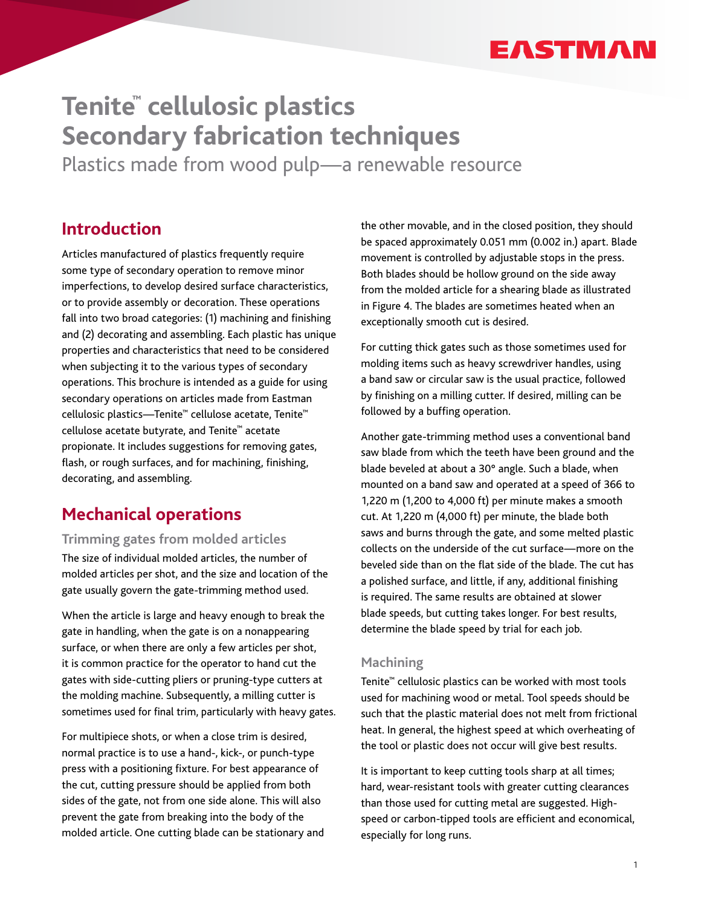# **EASTMAN**

# **Tenite™ cellulosic plastics Secondary fabrication techniques**

Plastics made from wood pulp—a renewable resource

# **Introduction**

Articles manufactured of plastics frequently require some type of secondary operation to remove minor imperfections, to develop desired surface characteristics, or to provide assembly or decoration. These operations fall into two broad categories: (1) machining and finishing and (2) decorating and assembling. Each plastic has unique properties and characteristics that need to be considered when subjecting it to the various types of secondary operations. This brochure is intended as a guide for using secondary operations on articles made from Eastman cellulosic plastics—Tenite™ cellulose acetate, Tenite™ cellulose acetate butyrate, and Tenite™ acetate propionate. It includes suggestions for removing gates, flash, or rough surfaces, and for machining, finishing, decorating, and assembling.

# **Mechanical operations**

# **Trimming gates from molded articles**

The size of individual molded articles, the number of molded articles per shot, and the size and location of the gate usually govern the gate-trimming method used.

When the article is large and heavy enough to break the gate in handling, when the gate is on a nonappearing surface, or when there are only a few articles per shot, it is common practice for the operator to hand cut the gates with side-cutting pliers or pruning-type cutters at the molding machine. Subsequently, a milling cutter is sometimes used for final trim, particularly with heavy gates.

For multipiece shots, or when a close trim is desired, normal practice is to use a hand-, kick-, or punch-type press with a positioning fixture. For best appearance of the cut, cutting pressure should be applied from both sides of the gate, not from one side alone. This will also prevent the gate from breaking into the body of the molded article. One cutting blade can be stationary and the other movable, and in the closed position, they should be spaced approximately 0.051 mm (0.002 in.) apart. Blade movement is controlled by adjustable stops in the press. Both blades should be hollow ground on the side away from the molded article for a shearing blade as illustrated in Figure 4. The blades are sometimes heated when an exceptionally smooth cut is desired.

For cutting thick gates such as those sometimes used for molding items such as heavy screwdriver handles, using a band saw or circular saw is the usual practice, followed by finishing on a milling cutter. If desired, milling can be followed by a buffing operation.

Another gate-trimming method uses a conventional band saw blade from which the teeth have been ground and the blade beveled at about a 30° angle. Such a blade, when mounted on a band saw and operated at a speed of 366 to 1,220 m (1,200 to 4,000 ft) per minute makes a smooth cut. At 1,220 m (4,000 ft) per minute, the blade both saws and burns through the gate, and some melted plastic collects on the underside of the cut surface—more on the beveled side than on the flat side of the blade. The cut has a polished surface, and little, if any, additional finishing is required. The same results are obtained at slower blade speeds, but cutting takes longer. For best results, determine the blade speed by trial for each job.

# **Machining**

Tenite™ cellulosic plastics can be worked with most tools used for machining wood or metal. Tool speeds should be such that the plastic material does not melt from frictional heat. In general, the highest speed at which overheating of the tool or plastic does not occur will give best results.

It is important to keep cutting tools sharp at all times; hard, wear-resistant tools with greater cutting clearances than those used for cutting metal are suggested. Highspeed or carbon-tipped tools are efficient and economical, especially for long runs.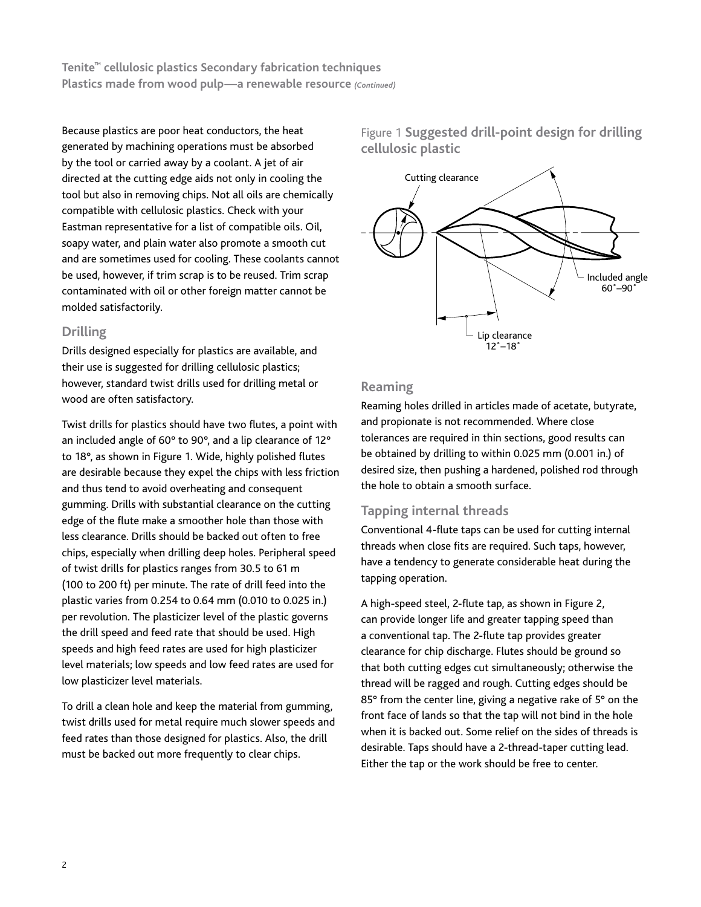Because plastics are poor heat conductors, the heat generated by machining operations must be absorbed by the tool or carried away by a coolant. A jet of air directed at the cutting edge aids not only in cooling the tool but also in removing chips. Not all oils are chemically compatible with cellulosic plastics. Check with your Eastman representative for a list of compatible oils. Oil, soapy water, and plain water also promote a smooth cut and are sometimes used for cooling. These coolants cannot be used, however, if trim scrap is to be reused. Trim scrap contaminated with oil or other foreign matter cannot be molded satisfactorily.

# **Drilling**

Drills designed especially for plastics are available, and their use is suggested for drilling cellulosic plastics; however, standard twist drills used for drilling metal or wood are often satisfactory.

Twist drills for plastics should have two flutes, a point with an included angle of 60° to 90°, and a lip clearance of 12° to 18°, as shown in Figure 1. Wide, highly polished flutes are desirable because they expel the chips with less friction and thus tend to avoid overheating and consequent gumming. Drills with substantial clearance on the cutting edge of the flute make a smoother hole than those with less clearance. Drills should be backed out often to free chips, especially when drilling deep holes. Peripheral speed of twist drills for plastics ranges from 30.5 to 61 m (100 to 200 ft) per minute. The rate of drill feed into the plastic varies from 0.254 to 0.64 mm (0.010 to 0.025 in.) per revolution. The plasticizer level of the plastic governs the drill speed and feed rate that should be used. High speeds and high feed rates are used for high plasticizer level materials; low speeds and low feed rates are used for low plasticizer level materials.

To drill a clean hole and keep the material from gumming, twist drills used for metal require much slower speeds and feed rates than those designed for plastics. Also, the drill must be backed out more frequently to clear chips.

Figure 1 **Suggested drill-point design for drilling cellulosic plastic**



# **Reaming**

Reaming holes drilled in articles made of acetate, butyrate, and propionate is not recommended. Where close tolerances are required in thin sections, good results can be obtained by drilling to within 0.025 mm (0.001 in.) of desired size, then pushing a hardened, polished rod through the hole to obtain a smooth surface.

# **Tapping internal threads**

Conventional 4-flute taps can be used for cutting internal threads when close fits are required. Such taps, however, have a tendency to generate considerable heat during the tapping operation.

A high-speed steel, 2-flute tap, as shown in Figure 2, can provide longer life and greater tapping speed than a conventional tap. The 2-flute tap provides greater clearance for chip discharge. Flutes should be ground so that both cutting edges cut simultaneously; otherwise the thread will be ragged and rough. Cutting edges should be 85° from the center line, giving a negative rake of 5° on the front face of lands so that the tap will not bind in the hole when it is backed out. Some relief on the sides of threads is desirable. Taps should have a 2-thread-taper cutting lead. Either the tap or the work should be free to center.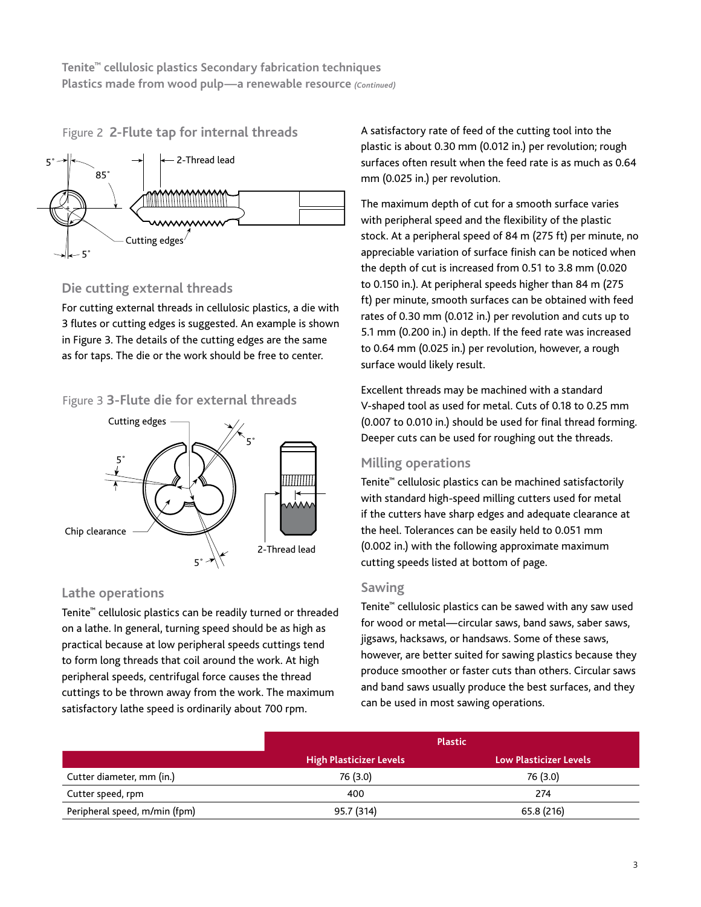# Figure 2 **2-Flute tap for internal threads**



# **Die cutting external threads**

For cutting external threads in cellulosic plastics, a die with 3 flutes or cutting edges is suggested. An example is shown in Figure 3. The details of the cutting edges are the same as for taps. The die or the work should be free to center.

# Figure 3 **3-Flute die for external threads**



# **Lathe operations**

Tenite™ cellulosic plastics can be readily turned or threaded on a lathe. In general, turning speed should be as high as practical because at low peripheral speeds cuttings tend to form long threads that coil around the work. At high peripheral speeds, centrifugal force causes the thread cuttings to be thrown away from the work. The maximum satisfactory lathe speed is ordinarily about 700 rpm.

A satisfactory rate of feed of the cutting tool into the plastic is about 0.30 mm (0.012 in.) per revolution; rough surfaces often result when the feed rate is as much as 0.64 mm (0.025 in.) per revolution.

The maximum depth of cut for a smooth surface varies with peripheral speed and the flexibility of the plastic stock. At a peripheral speed of 84 m (275 ft) per minute, no appreciable variation of surface finish can be noticed when the depth of cut is increased from 0.51 to 3.8 mm (0.020 to 0.150 in.). At peripheral speeds higher than 84 m (275 ft) per minute, smooth surfaces can be obtained with feed rates of 0.30 mm (0.012 in.) per revolution and cuts up to 5.1 mm (0.200 in.) in depth. If the feed rate was increased to 0.64 mm (0.025 in.) per revolution, however, a rough surface would likely result.

Excellent threads may be machined with a standard V-shaped tool as used for metal. Cuts of 0.18 to 0.25 mm (0.007 to 0.010 in.) should be used for final thread forming. Deeper cuts can be used for roughing out the threads.

# **Milling operations**

Tenite™ cellulosic plastics can be machined satisfactorily with standard high-speed milling cutters used for metal if the cutters have sharp edges and adequate clearance at the heel. Tolerances can be easily held to 0.051 mm (0.002 in.) with the following approximate maximum cutting speeds listed at bottom of page.

# **Sawing**

Tenite™ cellulosic plastics can be sawed with any saw used for wood or metal—circular saws, band saws, saber saws, jigsaws, hacksaws, or handsaws. Some of these saws, however, are better suited for sawing plastics because they produce smoother or faster cuts than others. Circular saws and band saws usually produce the best surfaces, and they can be used in most sawing operations.

|                               | <b>Plastic</b>                 |                               |
|-------------------------------|--------------------------------|-------------------------------|
|                               | <b>High Plasticizer Levels</b> | <b>Low Plasticizer Levels</b> |
| Cutter diameter, mm (in.)     | 76 (3.0)                       | 76 (3.0)                      |
| Cutter speed, rpm             | 400                            | 274                           |
| Peripheral speed, m/min (fpm) | 95.7 (314)                     | 65.8 (216)                    |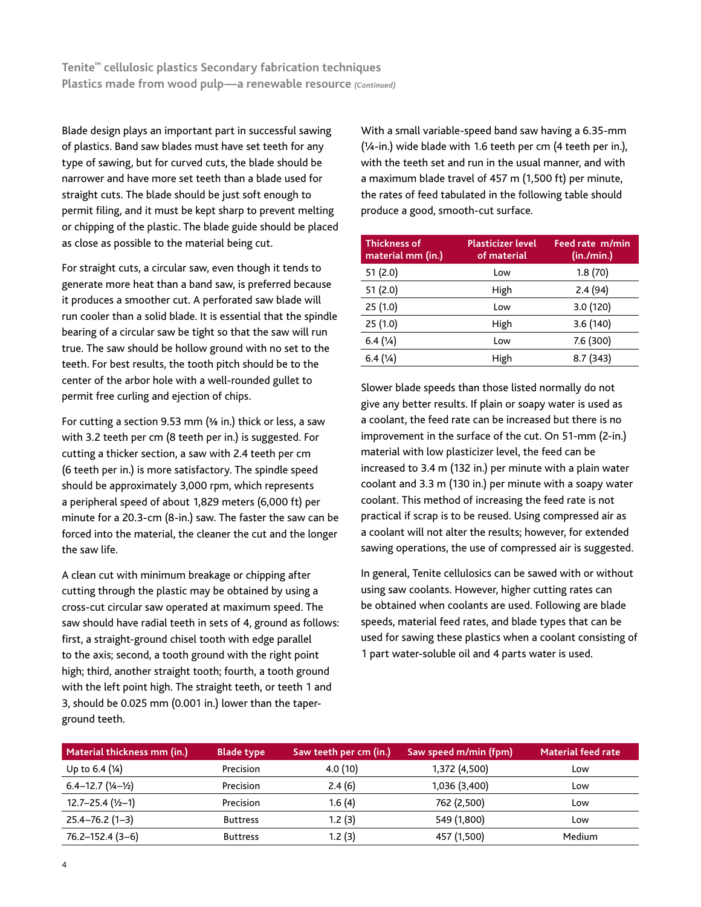Blade design plays an important part in successful sawing of plastics. Band saw blades must have set teeth for any type of sawing, but for curved cuts, the blade should be narrower and have more set teeth than a blade used for straight cuts. The blade should be just soft enough to permit filing, and it must be kept sharp to prevent melting or chipping of the plastic. The blade guide should be placed as close as possible to the material being cut.

For straight cuts, a circular saw, even though it tends to generate more heat than a band saw, is preferred because it produces a smoother cut. A perforated saw blade will run cooler than a solid blade. It is essential that the spindle bearing of a circular saw be tight so that the saw will run true. The saw should be hollow ground with no set to the teeth. For best results, the tooth pitch should be to the center of the arbor hole with a well-rounded gullet to permit free curling and ejection of chips.

For cutting a section 9.53 mm ( $\frac{3}{6}$  in.) thick or less, a saw with 3.2 teeth per cm (8 teeth per in.) is suggested. For cutting a thicker section, a saw with 2.4 teeth per cm (6 teeth per in.) is more satisfactory. The spindle speed should be approximately 3,000 rpm, which represents a peripheral speed of about 1,829 meters (6,000 ft) per minute for a 20.3-cm (8-in.) saw. The faster the saw can be forced into the material, the cleaner the cut and the longer the saw life.

A clean cut with minimum breakage or chipping after cutting through the plastic may be obtained by using a cross-cut circular saw operated at maximum speed. The saw should have radial teeth in sets of 4, ground as follows: first, a straight-ground chisel tooth with edge parallel to the axis; second, a tooth ground with the right point high; third, another straight tooth; fourth, a tooth ground with the left point high. The straight teeth, or teeth 1 and 3, should be 0.025 mm (0.001 in.) lower than the taperground teeth.

With a small variable-speed band saw having a 6.35-mm  $(1/4$ -in.) wide blade with 1.6 teeth per cm  $(4$  teeth per in.), with the teeth set and run in the usual manner, and with a maximum blade travel of 457 m (1,500 ft) per minute, the rates of feed tabulated in the following table should produce a good, smooth-cut surface.

| <b>Thickness of</b><br>material mm (in.) | <b>Plasticizer level</b><br>of material | Feed rate m/min<br>(in./min.) |
|------------------------------------------|-----------------------------------------|-------------------------------|
| 51(2.0)                                  | Low                                     | 1.8(70)                       |
| 51(2.0)                                  | High                                    | 2.4(94)                       |
| 25(1.0)                                  | Low                                     | 3.0 (120)                     |
| 25(1.0)                                  | High                                    | 3.6(140)                      |
| 6.4(1/4)                                 | Low                                     | 7.6 (300)                     |
| 6.4(1/4)                                 | High                                    | 8.7 (343)                     |

Slower blade speeds than those listed normally do not give any better results. If plain or soapy water is used as a coolant, the feed rate can be increased but there is no improvement in the surface of the cut. On 51-mm (2-in.) material with low plasticizer level, the feed can be increased to 3.4 m (132 in.) per minute with a plain water coolant and 3.3 m (130 in.) per minute with a soapy water coolant. This method of increasing the feed rate is not practical if scrap is to be reused. Using compressed air as a coolant will not alter the results; however, for extended sawing operations, the use of compressed air is suggested.

In general, Tenite cellulosics can be sawed with or without using saw coolants. However, higher cutting rates can be obtained when coolants are used. Following are blade speeds, material feed rates, and blade types that can be used for sawing these plastics when a coolant consisting of 1 part water-soluble oil and 4 parts water is used.

| Material thickness mm (in.)                | Blade type      | Saw teeth per cm (in.) | Saw speed m/min (fpm) | <b>Material feed rate</b> |
|--------------------------------------------|-----------------|------------------------|-----------------------|---------------------------|
| Up to 6.4 (¼)                              | Precision       | 4.0(10)                | 1,372 (4,500)         | Low                       |
| $6.4 - 12.7$ $(\frac{1}{4} - \frac{1}{2})$ | Precision       | 2.4(6)                 | 1,036 (3,400)         | Low                       |
| $12.7 - 25.4$ ( $1/2 - 1$ )                | Precision       | 1.6(4)                 | 762 (2,500)           | Low                       |
| $25.4 - 76.2(1 - 3)$                       | <b>Buttress</b> | 1.2(3)                 | 549 (1,800)           | Low                       |
| 76.2-152.4 (3-6)                           | <b>Buttress</b> | 1.2(3)                 | 457 (1,500)           | Medium                    |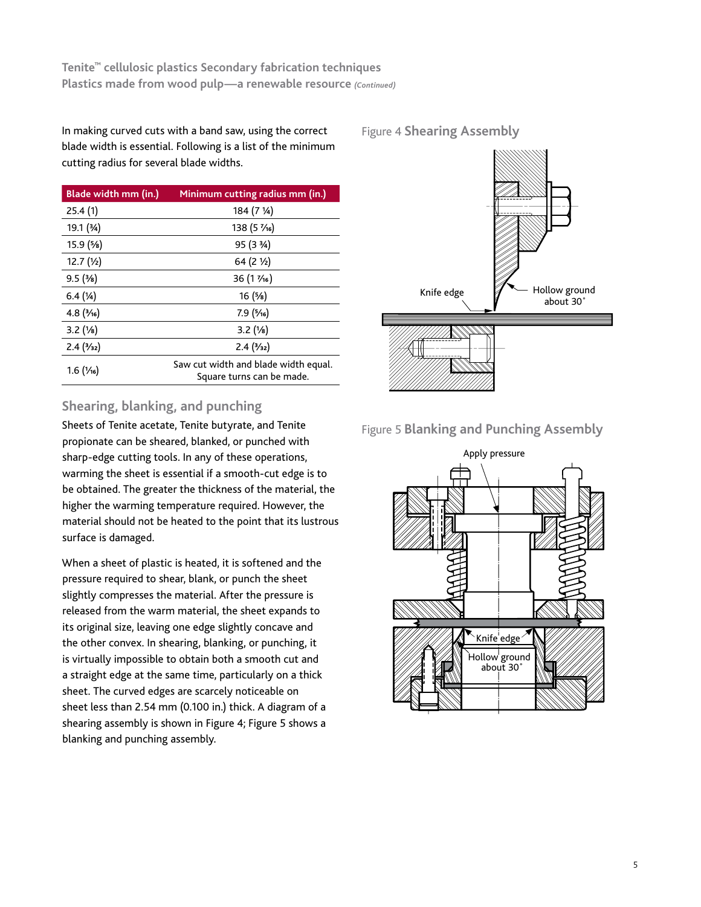In making curved cuts with a band saw, using the correct blade width is essential. Following is a list of the minimum cutting radius for several blade widths.

| Blade width mm (in.) | Minimum cutting radius mm (in.)                                   |
|----------------------|-------------------------------------------------------------------|
| 25.4(1)              | 184 (7 1⁄4)                                                       |
| 19.1 (34)            | 138 (5 $\frac{7}{6}$ )                                            |
| 15.9 (%)             | 95 (3 3/4)                                                        |
| $12.7(y_2)$          | $64(2\frac{1}{2})$                                                |
| 9.5(3/8)             | $36(1\frac{7}{16})$                                               |
| $6.4(\frac{1}{4})$   | 16(5/8)                                                           |
| 4.8(3/16)            | 7.9(5/16)                                                         |
| 3.2(1/8)             | 3.2(1/8)                                                          |
| 2.4(3/32)            | 2.4(3/32)                                                         |
| $1.6(y_{16})$        | Saw cut width and blade width equal.<br>Square turns can be made. |

# **Shearing, blanking, and punching**

Sheets of Tenite acetate, Tenite butyrate, and Tenite propionate can be sheared, blanked, or punched with sharp-edge cutting tools. In any of these operations, warming the sheet is essential if a smooth-cut edge is to be obtained. The greater the thickness of the material, the higher the warming temperature required. However, the material should not be heated to the point that its lustrous surface is damaged.

When a sheet of plastic is heated, it is softened and the pressure required to shear, blank, or punch the sheet slightly compresses the material. After the pressure is released from the warm material, the sheet expands to its original size, leaving one edge slightly concave and the other convex. In shearing, blanking, or punching, it is virtually impossible to obtain both a smooth cut and a straight edge at the same time, particularly on a thick sheet. The curved edges are scarcely noticeable on sheet less than 2.54 mm (0.100 in.) thick. A diagram of a shearing assembly is shown in Figure 4; Figure 5 shows a blanking and punching assembly.

### Figure 4 **Shearing Assembly**



# Figure 5 **Blanking and Punching Assembly**

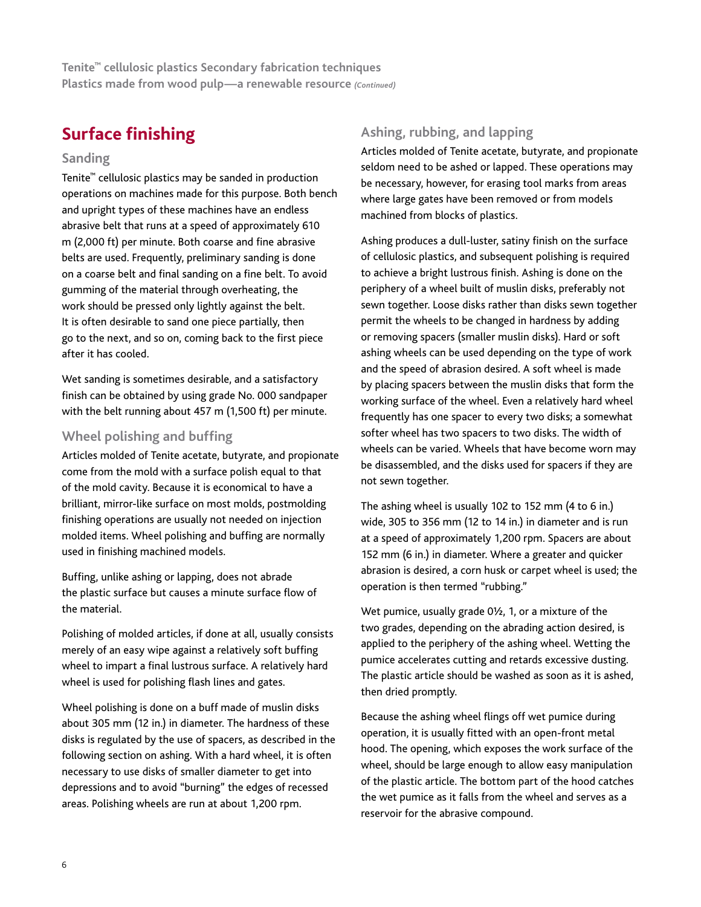# **Surface finishing**

### **Sanding**

Tenite™ cellulosic plastics may be sanded in production operations on machines made for this purpose. Both bench and upright types of these machines have an endless abrasive belt that runs at a speed of approximately 610 m (2,000 ft) per minute. Both coarse and fine abrasive belts are used. Frequently, preliminary sanding is done on a coarse belt and final sanding on a fine belt. To avoid gumming of the material through overheating, the work should be pressed only lightly against the belt. It is often desirable to sand one piece partially, then go to the next, and so on, coming back to the first piece after it has cooled.

Wet sanding is sometimes desirable, and a satisfactory finish can be obtained by using grade No. 000 sandpaper with the belt running about 457 m (1,500 ft) per minute.

# **Wheel polishing and buffing**

Articles molded of Tenite acetate, butyrate, and propionate come from the mold with a surface polish equal to that of the mold cavity. Because it is economical to have a brilliant, mirror-like surface on most molds, postmolding finishing operations are usually not needed on injection molded items. Wheel polishing and buffing are normally used in finishing machined models.

Buffing, unlike ashing or lapping, does not abrade the plastic surface but causes a minute surface flow of the material.

Polishing of molded articles, if done at all, usually consists merely of an easy wipe against a relatively soft buffing wheel to impart a final lustrous surface. A relatively hard wheel is used for polishing flash lines and gates.

Wheel polishing is done on a buff made of muslin disks about 305 mm (12 in.) in diameter. The hardness of these disks is regulated by the use of spacers, as described in the following section on ashing. With a hard wheel, it is often necessary to use disks of smaller diameter to get into depressions and to avoid "burning" the edges of recessed areas. Polishing wheels are run at about 1,200 rpm.

# **Ashing, rubbing, and lapping**

Articles molded of Tenite acetate, butyrate, and propionate seldom need to be ashed or lapped. These operations may be necessary, however, for erasing tool marks from areas where large gates have been removed or from models machined from blocks of plastics.

Ashing produces a dull-luster, satiny finish on the surface of cellulosic plastics, and subsequent polishing is required to achieve a bright lustrous finish. Ashing is done on the periphery of a wheel built of muslin disks, preferably not sewn together. Loose disks rather than disks sewn together permit the wheels to be changed in hardness by adding or removing spacers (smaller muslin disks). Hard or soft ashing wheels can be used depending on the type of work and the speed of abrasion desired. A soft wheel is made by placing spacers between the muslin disks that form the working surface of the wheel. Even a relatively hard wheel frequently has one spacer to every two disks; a somewhat softer wheel has two spacers to two disks. The width of wheels can be varied. Wheels that have become worn may be disassembled, and the disks used for spacers if they are not sewn together.

The ashing wheel is usually 102 to 152 mm (4 to 6 in.) wide, 305 to 356 mm (12 to 14 in.) in diameter and is run at a speed of approximately 1,200 rpm. Spacers are about 152 mm (6 in.) in diameter. Where a greater and quicker abrasion is desired, a corn husk or carpet wheel is used; the operation is then termed "rubbing."

Wet pumice, usually grade 0½, 1, or a mixture of the two grades, depending on the abrading action desired, is applied to the periphery of the ashing wheel. Wetting the pumice accelerates cutting and retards excessive dusting. The plastic article should be washed as soon as it is ashed, then dried promptly.

Because the ashing wheel flings off wet pumice during operation, it is usually fitted with an open-front metal hood. The opening, which exposes the work surface of the wheel, should be large enough to allow easy manipulation of the plastic article. The bottom part of the hood catches the wet pumice as it falls from the wheel and serves as a reservoir for the abrasive compound.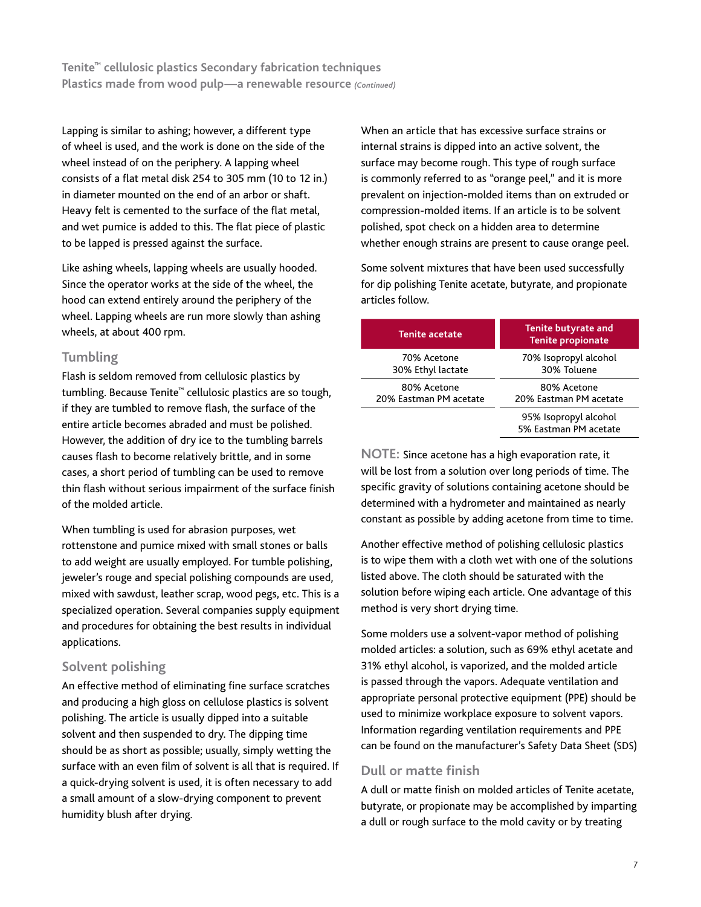Lapping is similar to ashing; however, a different type of wheel is used, and the work is done on the side of the wheel instead of on the periphery. A lapping wheel consists of a flat metal disk 254 to 305 mm (10 to 12 in.) in diameter mounted on the end of an arbor or shaft. Heavy felt is cemented to the surface of the flat metal, and wet pumice is added to this. The flat piece of plastic to be lapped is pressed against the surface.

Like ashing wheels, lapping wheels are usually hooded. Since the operator works at the side of the wheel, the hood can extend entirely around the periphery of the wheel. Lapping wheels are run more slowly than ashing wheels, at about 400 rpm.

# **Tumbling**

Flash is seldom removed from cellulosic plastics by tumbling. Because Tenite™ cellulosic plastics are so tough, if they are tumbled to remove flash, the surface of the entire article becomes abraded and must be polished. However, the addition of dry ice to the tumbling barrels causes flash to become relatively brittle, and in some cases, a short period of tumbling can be used to remove thin flash without serious impairment of the surface finish of the molded article.

When tumbling is used for abrasion purposes, wet rottenstone and pumice mixed with small stones or balls to add weight are usually employed. For tumble polishing, jeweler's rouge and special polishing compounds are used, mixed with sawdust, leather scrap, wood pegs, etc. This is a specialized operation. Several companies supply equipment and procedures for obtaining the best results in individual applications.

# **Solvent polishing**

An effective method of eliminating fine surface scratches and producing a high gloss on cellulose plastics is solvent polishing. The article is usually dipped into a suitable solvent and then suspended to dry. The dipping time should be as short as possible; usually, simply wetting the surface with an even film of solvent is all that is required. If a quick-drying solvent is used, it is often necessary to add a small amount of a slow-drying component to prevent humidity blush after drying.

When an article that has excessive surface strains or internal strains is dipped into an active solvent, the surface may become rough. This type of rough surface is commonly referred to as "orange peel," and it is more prevalent on injection-molded items than on extruded or compression-molded items. If an article is to be solvent polished, spot check on a hidden area to determine whether enough strains are present to cause orange peel.

Some solvent mixtures that have been used successfully for dip polishing Tenite acetate, butyrate, and propionate articles follow.

| <b>Tenite propionate</b>                       |
|------------------------------------------------|
| 70% Isopropyl alcohol<br>30% Toluene           |
| 80% Acetone<br>20% Eastman PM acetate          |
| 95% Isopropyl alcohol<br>5% Eastman PM acetate |
|                                                |

**NOTE:** Since acetone has a high evaporation rate, it will be lost from a solution over long periods of time. The specific gravity of solutions containing acetone should be determined with a hydrometer and maintained as nearly constant as possible by adding acetone from time to time.

Another effective method of polishing cellulosic plastics is to wipe them with a cloth wet with one of the solutions listed above. The cloth should be saturated with the solution before wiping each article. One advantage of this method is very short drying time.

Some molders use a solvent-vapor method of polishing molded articles: a solution, such as 69% ethyl acetate and 31% ethyl alcohol, is vaporized, and the molded article is passed through the vapors. Adequate ventilation and appropriate personal protective equipment (PPE) should be used to minimize workplace exposure to solvent vapors. Information regarding ventilation requirements and PPE can be found on the manufacturer's Safety Data Sheet (SDS)

# **Dull or matte finish**

A dull or matte finish on molded articles of Tenite acetate, butyrate, or propionate may be accomplished by imparting a dull or rough surface to the mold cavity or by treating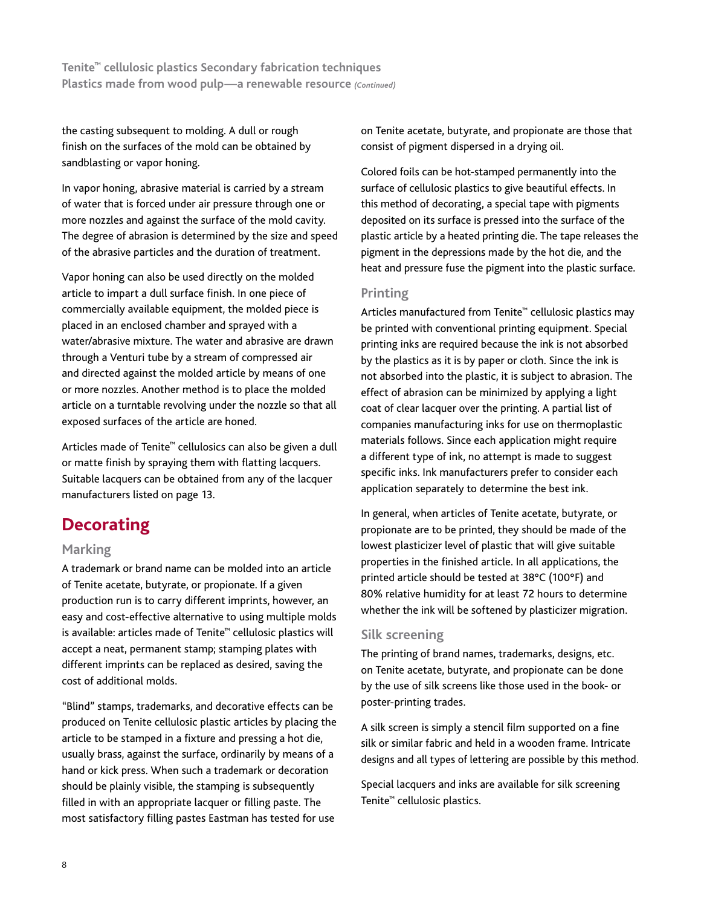the casting subsequent to molding. A dull or rough finish on the surfaces of the mold can be obtained by sandblasting or vapor honing.

In vapor honing, abrasive material is carried by a stream of water that is forced under air pressure through one or more nozzles and against the surface of the mold cavity. The degree of abrasion is determined by the size and speed of the abrasive particles and the duration of treatment.

Vapor honing can also be used directly on the molded article to impart a dull surface finish. In one piece of commercially available equipment, the molded piece is placed in an enclosed chamber and sprayed with a water/abrasive mixture. The water and abrasive are drawn through a Venturi tube by a stream of compressed air and directed against the molded article by means of one or more nozzles. Another method is to place the molded article on a turntable revolving under the nozzle so that all exposed surfaces of the article are honed.

Articles made of Tenite™ cellulosics can also be given a dull or matte finish by spraying them with flatting lacquers. Suitable lacquers can be obtained from any of the lacquer manufacturers listed on page 13.

# **Decorating**

### **Marking**

A trademark or brand name can be molded into an article of Tenite acetate, butyrate, or propionate. If a given production run is to carry different imprints, however, an easy and cost-effective alternative to using multiple molds is available: articles made of Tenite™ cellulosic plastics will accept a neat, permanent stamp; stamping plates with different imprints can be replaced as desired, saving the cost of additional molds.

"Blind" stamps, trademarks, and decorative effects can be produced on Tenite cellulosic plastic articles by placing the article to be stamped in a fixture and pressing a hot die, usually brass, against the surface, ordinarily by means of a hand or kick press. When such a trademark or decoration should be plainly visible, the stamping is subsequently filled in with an appropriate lacquer or filling paste. The most satisfactory filling pastes Eastman has tested for use

on Tenite acetate, butyrate, and propionate are those that consist of pigment dispersed in a drying oil.

Colored foils can be hot-stamped permanently into the surface of cellulosic plastics to give beautiful effects. In this method of decorating, a special tape with pigments deposited on its surface is pressed into the surface of the plastic article by a heated printing die. The tape releases the pigment in the depressions made by the hot die, and the heat and pressure fuse the pigment into the plastic surface.

# **Printing**

Articles manufactured from Tenite™ cellulosic plastics may be printed with conventional printing equipment. Special printing inks are required because the ink is not absorbed by the plastics as it is by paper or cloth. Since the ink is not absorbed into the plastic, it is subject to abrasion. The effect of abrasion can be minimized by applying a light coat of clear lacquer over the printing. A partial list of companies manufacturing inks for use on thermoplastic materials follows. Since each application might require a different type of ink, no attempt is made to suggest specific inks. Ink manufacturers prefer to consider each application separately to determine the best ink.

In general, when articles of Tenite acetate, butyrate, or propionate are to be printed, they should be made of the lowest plasticizer level of plastic that will give suitable properties in the finished article. In all applications, the printed article should be tested at 38°C (100°F) and 80% relative humidity for at least 72 hours to determine whether the ink will be softened by plasticizer migration.

# **Silk screening**

The printing of brand names, trademarks, designs, etc. on Tenite acetate, butyrate, and propionate can be done by the use of silk screens like those used in the book- or poster-printing trades.

A silk screen is simply a stencil film supported on a fine silk or similar fabric and held in a wooden frame. Intricate designs and all types of lettering are possible by this method.

Special lacquers and inks are available for silk screening Tenite™ cellulosic plastics.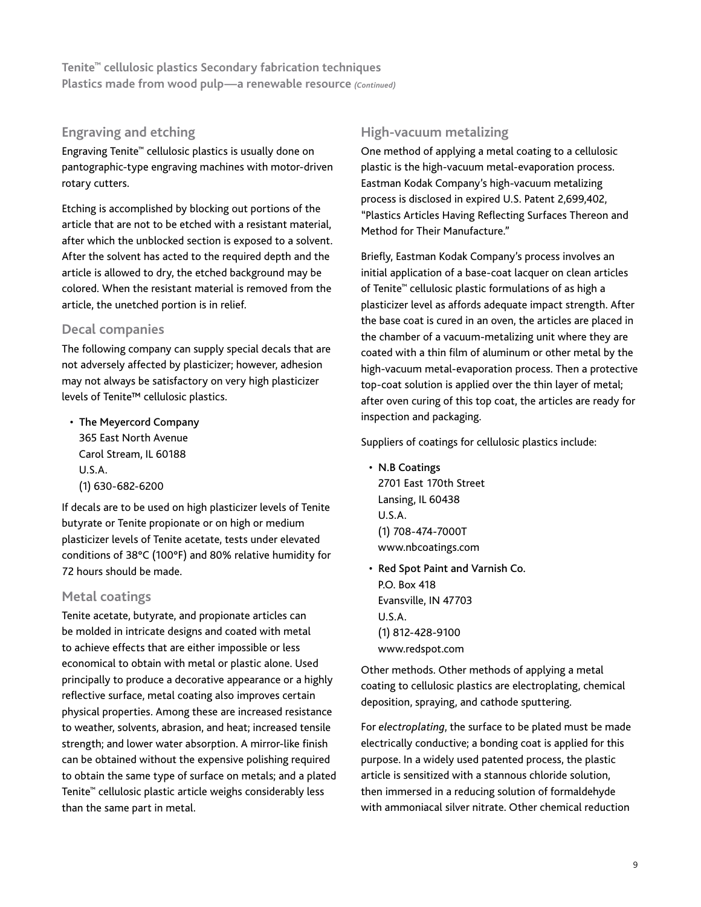# **Engraving and etching**

Engraving Tenite™ cellulosic plastics is usually done on pantographic-type engraving machines with motor-driven rotary cutters.

Etching is accomplished by blocking out portions of the article that are not to be etched with a resistant material, after which the unblocked section is exposed to a solvent. After the solvent has acted to the required depth and the article is allowed to dry, the etched background may be colored. When the resistant material is removed from the article, the unetched portion is in relief.

# **Decal companies**

The following company can supply special decals that are not adversely affected by plasticizer; however, adhesion may not always be satisfactory on very high plasticizer levels of Tenite™ cellulosic plastics.

• The Meyercord Company 365 East North Avenue Carol Stream, IL 60188 U.S.A. (1) 630-682-6200

If decals are to be used on high plasticizer levels of Tenite butyrate or Tenite propionate or on high or medium plasticizer levels of Tenite acetate, tests under elevated conditions of 38°C (100°F) and 80% relative humidity for 72 hours should be made.

# **Metal coatings**

Tenite acetate, butyrate, and propionate articles can be molded in intricate designs and coated with metal to achieve effects that are either impossible or less economical to obtain with metal or plastic alone. Used principally to produce a decorative appearance or a highly reflective surface, metal coating also improves certain physical properties. Among these are increased resistance to weather, solvents, abrasion, and heat; increased tensile strength; and lower water absorption. A mirror-like finish can be obtained without the expensive polishing required to obtain the same type of surface on metals; and a plated Tenite™ cellulosic plastic article weighs considerably less than the same part in metal.

# **High-vacuum metalizing**

One method of applying a metal coating to a cellulosic plastic is the high-vacuum metal-evaporation process. Eastman Kodak Company's high-vacuum metalizing process is disclosed in expired U.S. Patent 2,699,402, "Plastics Articles Having Reflecting Surfaces Thereon and Method for Their Manufacture."

Briefly, Eastman Kodak Company's process involves an initial application of a base-coat lacquer on clean articles of Tenite™ cellulosic plastic formulations of as high a plasticizer level as affords adequate impact strength. After the base coat is cured in an oven, the articles are placed in the chamber of a vacuum-metalizing unit where they are coated with a thin film of aluminum or other metal by the high-vacuum metal-evaporation process. Then a protective top-coat solution is applied over the thin layer of metal; after oven curing of this top coat, the articles are ready for inspection and packaging.

Suppliers of coatings for cellulosic plastics include:

- N.B Coatings 2701 East 170th Street Lansing, IL 60438 U.S.A. (1) 708-474-7000T www.nbcoatings.com
- Red Spot Paint and Varnish Co. P.O. Box 418 Evansville, IN 47703 U.S.A. (1) 812-428-9100 www.redspot.com

Other methods. Other methods of applying a metal coating to cellulosic plastics are electroplating, chemical deposition, spraying, and cathode sputtering.

For *electroplating*, the surface to be plated must be made electrically conductive; a bonding coat is applied for this purpose. In a widely used patented process, the plastic article is sensitized with a stannous chloride solution, then immersed in a reducing solution of formaldehyde with ammoniacal silver nitrate. Other chemical reduction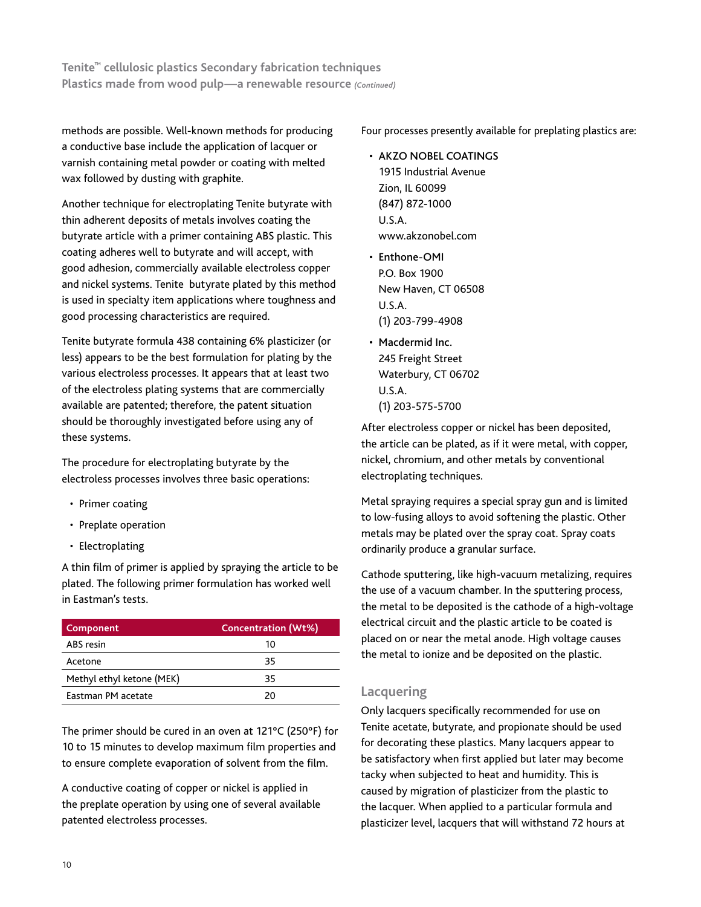methods are possible. Well-known methods for producing a conductive base include the application of lacquer or varnish containing metal powder or coating with melted wax followed by dusting with graphite.

Another technique for electroplating Tenite butyrate with thin adherent deposits of metals involves coating the butyrate article with a primer containing ABS plastic. This coating adheres well to butyrate and will accept, with good adhesion, commercially available electroless copper and nickel systems. Tenite butyrate plated by this method is used in specialty item applications where toughness and good processing characteristics are required.

Tenite butyrate formula 438 containing 6% plasticizer (or less) appears to be the best formulation for plating by the various electroless processes. It appears that at least two of the electroless plating systems that are commercially available are patented; therefore, the patent situation should be thoroughly investigated before using any of these systems.

The procedure for electroplating butyrate by the electroless processes involves three basic operations:

- Primer coating
- Preplate operation
- Electroplating

A thin film of primer is applied by spraying the article to be plated. The following primer formulation has worked well in Eastman's tests.

| Component                 | <b>Concentration (Wt%)</b> |
|---------------------------|----------------------------|
| ABS resin                 | 10                         |
| Acetone                   | 35                         |
| Methyl ethyl ketone (MEK) | 35                         |
| <b>Fastman PM acetate</b> | 20                         |

The primer should be cured in an oven at 121°C (250°F) for 10 to 15 minutes to develop maximum film properties and to ensure complete evaporation of solvent from the film.

A conductive coating of copper or nickel is applied in the preplate operation by using one of several available patented electroless processes.

Four processes presently available for preplating plastics are:

- AKZO NOBEL COATINGS 1915 Industrial Avenue Zion, IL 60099 (847) 872-1000 U.S.A. www.akzonobel.com
- Enthone-OMI P.O. Box 1900 New Haven, CT 06508 U.S.A. (1) 203-799-4908
- Macdermid Inc. 245 Freight Street Waterbury, CT 06702 U.S.A. (1) 203-575-5700

After electroless copper or nickel has been deposited, the article can be plated, as if it were metal, with copper, nickel, chromium, and other metals by conventional electroplating techniques.

Metal spraying requires a special spray gun and is limited to low-fusing alloys to avoid softening the plastic. Other metals may be plated over the spray coat. Spray coats ordinarily produce a granular surface.

Cathode sputtering, like high-vacuum metalizing, requires the use of a vacuum chamber. In the sputtering process, the metal to be deposited is the cathode of a high-voltage electrical circuit and the plastic article to be coated is placed on or near the metal anode. High voltage causes the metal to ionize and be deposited on the plastic.

# **Lacquering**

Only lacquers specifically recommended for use on Tenite acetate, butyrate, and propionate should be used for decorating these plastics. Many lacquers appear to be satisfactory when first applied but later may become tacky when subjected to heat and humidity. This is caused by migration of plasticizer from the plastic to the lacquer. When applied to a particular formula and plasticizer level, lacquers that will withstand 72 hours at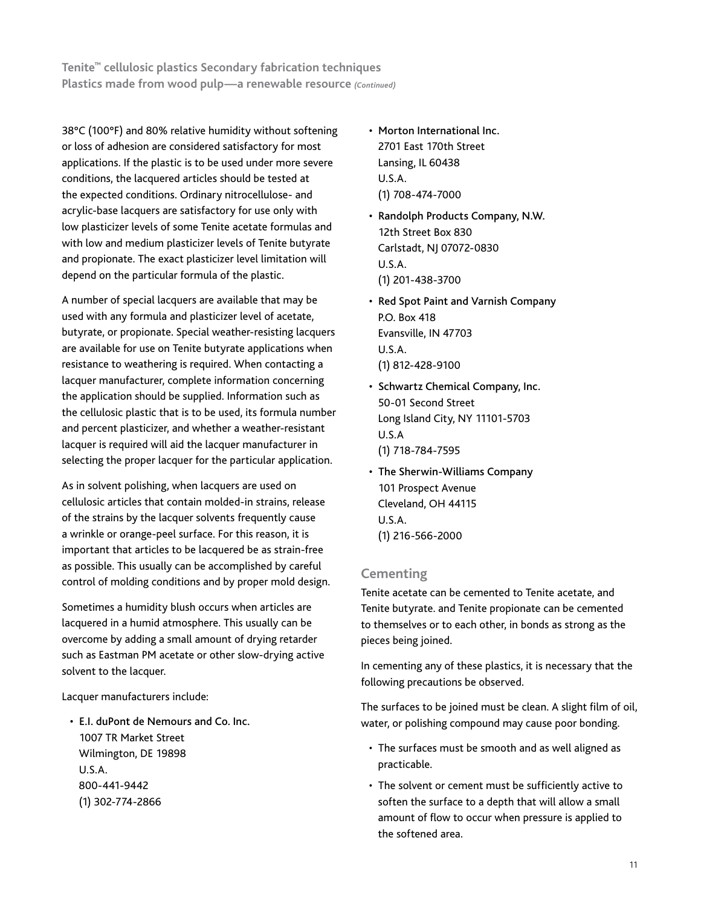38°C (100°F) and 80% relative humidity without softening or loss of adhesion are considered satisfactory for most applications. If the plastic is to be used under more severe conditions, the lacquered articles should be tested at the expected conditions. Ordinary nitrocellulose- and acrylic-base lacquers are satisfactory for use only with low plasticizer levels of some Tenite acetate formulas and with low and medium plasticizer levels of Tenite butyrate and propionate. The exact plasticizer level limitation will depend on the particular formula of the plastic.

A number of special lacquers are available that may be used with any formula and plasticizer level of acetate, butyrate, or propionate. Special weather-resisting lacquers are available for use on Tenite butyrate applications when resistance to weathering is required. When contacting a lacquer manufacturer, complete information concerning the application should be supplied. Information such as the cellulosic plastic that is to be used, its formula number and percent plasticizer, and whether a weather-resistant lacquer is required will aid the lacquer manufacturer in selecting the proper lacquer for the particular application.

As in solvent polishing, when lacquers are used on cellulosic articles that contain molded-in strains, release of the strains by the lacquer solvents frequently cause a wrinkle or orange-peel surface. For this reason, it is important that articles to be lacquered be as strain-free as possible. This usually can be accomplished by careful control of molding conditions and by proper mold design.

Sometimes a humidity blush occurs when articles are lacquered in a humid atmosphere. This usually can be overcome by adding a small amount of drying retarder such as Eastman PM acetate or other slow-drying active solvent to the lacquer.

Lacquer manufacturers include:

• E.I. duPont de Nemours and Co. Inc. 1007 TR Market Street Wilmington, DE 19898 U.S.A. 800-441-9442 (1) 302-774-2866

- Morton International Inc. 2701 East 170th Street Lansing, IL 60438 U.S.A. (1) 708-474-7000
- Randolph Products Company, N.W. 12th Street Box 830 Carlstadt, NJ 07072-0830 U.S.A. (1) 201-438-3700
- Red Spot Paint and Varnish Company P.O. Box 418 Evansville, IN 47703 U.S.A. (1) 812-428-9100
- Schwartz Chemical Company, Inc. 50-01 Second Street Long Island City, NY 11101-5703 U.S.A (1) 718-784-7595
- The Sherwin-Williams Company 101 Prospect Avenue Cleveland, OH 44115 U.S.A. (1) 216-566-2000

# **Cementing**

Tenite acetate can be cemented to Tenite acetate, and Tenite butyrate. and Tenite propionate can be cemented to themselves or to each other, in bonds as strong as the pieces being joined.

In cementing any of these plastics, it is necessary that the following precautions be observed.

The surfaces to be joined must be clean. A slight film of oil, water, or polishing compound may cause poor bonding.

- The surfaces must be smooth and as well aligned as practicable.
- The solvent or cement must be sufficiently active to soften the surface to a depth that will allow a small amount of flow to occur when pressure is applied to the softened area.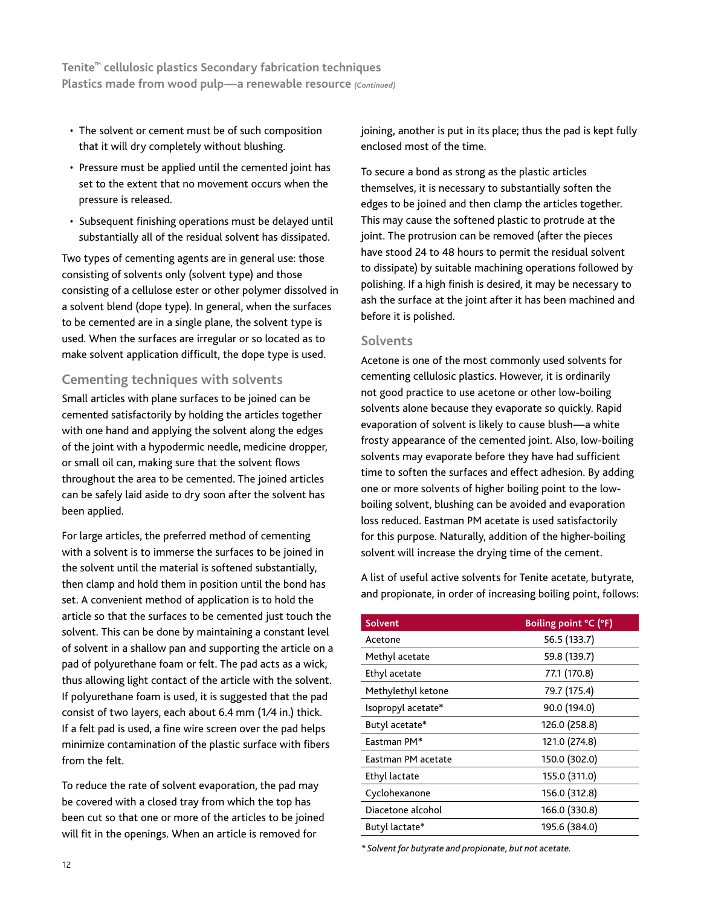- The solvent or cement must be of such composition that it will dry completely without blushing.
- Pressure must be applied until the cemented joint has set to the extent that no movement occurs when the pressure is released.
- Subsequent finishing operations must be delayed until substantially all of the residual solvent has dissipated.

Two types of cementing agents are in general use: those consisting of solvents only (solvent type) and those consisting of a cellulose ester or other polymer dissolved in a solvent blend (dope type). In general, when the surfaces to be cemented are in a single plane, the solvent type is used. When the surfaces are irregular or so located as to make solvent application difficult, the dope type is used.

# **Cementing techniques with solvents**

Small articles with plane surfaces to be joined can be cemented satisfactorily by holding the articles together with one hand and applying the solvent along the edges of the joint with a hypodermic needle, medicine dropper, or small oil can, making sure that the solvent flows throughout the area to be cemented. The joined articles can be safely laid aside to dry soon after the solvent has been applied.

For large articles, the preferred method of cementing with a solvent is to immerse the surfaces to be joined in the solvent until the material is softened substantially, then clamp and hold them in position until the bond has set. A convenient method of application is to hold the article so that the surfaces to be cemented just touch the solvent. This can be done by maintaining a constant level of solvent in a shallow pan and supporting the article on a pad of polyurethane foam or felt. The pad acts as a wick, thus allowing light contact of the article with the solvent. If polyurethane foam is used, it is suggested that the pad consist of two layers, each about 6.4 mm (1⁄4 in.) thick. If a felt pad is used, a fine wire screen over the pad helps minimize contamination of the plastic surface with fibers from the felt.

To reduce the rate of solvent evaporation, the pad may be covered with a closed tray from which the top has been cut so that one or more of the articles to be joined will fit in the openings. When an article is removed for

joining, another is put in its place; thus the pad is kept fully enclosed most of the time.

To secure a bond as strong as the plastic articles themselves, it is necessary to substantially soften the edges to be joined and then clamp the articles together. This may cause the softened plastic to protrude at the joint. The protrusion can be removed (after the pieces have stood 24 to 48 hours to permit the residual solvent to dissipate) by suitable machining operations followed by polishing. If a high finish is desired, it may be necessary to ash the surface at the joint after it has been machined and before it is polished.

### **Solvents**

Acetone is one of the most commonly used solvents for cementing cellulosic plastics. However, it is ordinarily not good practice to use acetone or other low-boiling solvents alone because they evaporate so quickly. Rapid evaporation of solvent is likely to cause blush—a white frosty appearance of the cemented joint. Also, low-boiling solvents may evaporate before they have had sufficient time to soften the surfaces and effect adhesion. By adding one or more solvents of higher boiling point to the lowboiling solvent, blushing can be avoided and evaporation loss reduced. Eastman PM acetate is used satisfactorily for this purpose. Naturally, addition of the higher-boiling solvent will increase the drying time of the cement.

A list of useful active solvents for Tenite acetate, butyrate, and propionate, in order of increasing boiling point, follows:

| <b>Solvent</b>     | Boiling point °C (°F) |
|--------------------|-----------------------|
| Acetone            | 56.5 (133.7)          |
| Methyl acetate     | 59.8 (139.7)          |
| Ethyl acetate      | 77.1 (170.8)          |
| Methylethyl ketone | 79.7 (175.4)          |
| Isopropyl acetate* | 90.0 (194.0)          |
| Butyl acetate*     | 126.0 (258.8)         |
| Eastman PM*        | 121.0 (274.8)         |
| Eastman PM acetate | 150.0 (302.0)         |
| Ethyl lactate      | 155.0 (311.0)         |
| Cyclohexanone      | 156.0 (312.8)         |
| Diacetone alcohol  | 166.0 (330.8)         |
| Butyl lactate*     | 195.6 (384.0)         |

*\* Solvent for butyrate and propionate, but not acetate.*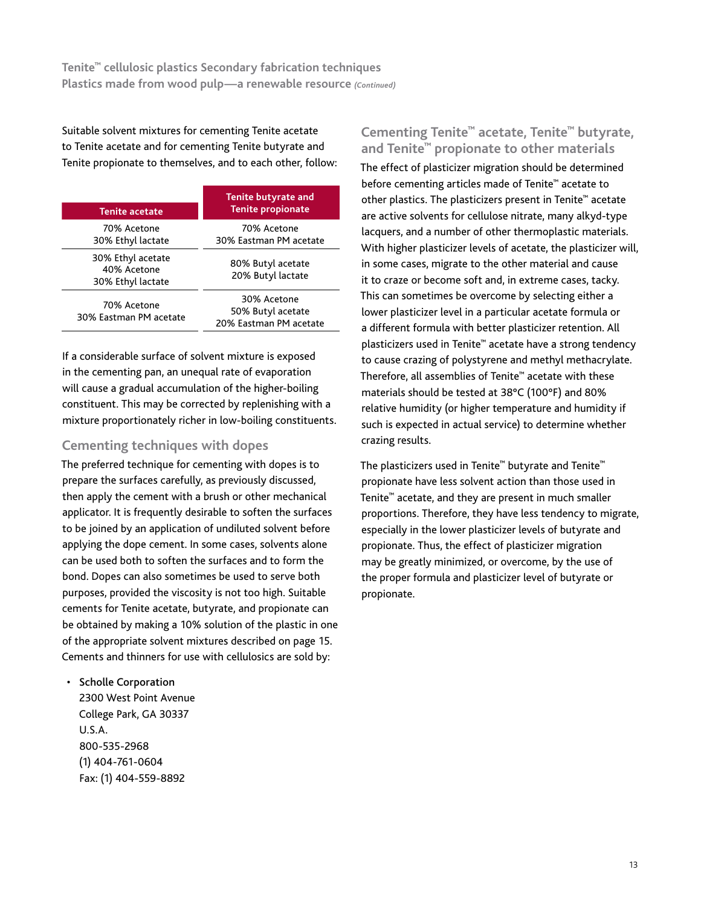Suitable solvent mixtures for cementing Tenite acetate to Tenite acetate and for cementing Tenite butyrate and Tenite propionate to themselves, and to each other, follow:

| <b>Tenite acetate</b>                                 | <b>Tenite butyrate and</b><br><b>Tenite propionate</b>     |
|-------------------------------------------------------|------------------------------------------------------------|
| 70% Acetone<br>30% Ethyl lactate                      | 70% Acetone<br>30% Eastman PM acetate                      |
| 30% Ethyl acetate<br>40% Acetone<br>30% Ethyl lactate | 80% Butyl acetate<br>20% Butyl lactate                     |
| 70% Acetone<br>30% Eastman PM acetate                 | 30% Acetone<br>50% Butyl acetate<br>20% Eastman PM acetate |

If a considerable surface of solvent mixture is exposed in the cementing pan, an unequal rate of evaporation will cause a gradual accumulation of the higher-boiling constituent. This may be corrected by replenishing with a mixture proportionately richer in low-boiling constituents.

# **Cementing techniques with dopes**

The preferred technique for cementing with dopes is to prepare the surfaces carefully, as previously discussed, then apply the cement with a brush or other mechanical applicator. It is frequently desirable to soften the surfaces to be joined by an application of undiluted solvent before applying the dope cement. In some cases, solvents alone can be used both to soften the surfaces and to form the bond. Dopes can also sometimes be used to serve both purposes, provided the viscosity is not too high. Suitable cements for Tenite acetate, butyrate, and propionate can be obtained by making a 10% solution of the plastic in one of the appropriate solvent mixtures described on page 15. Cements and thinners for use with cellulosics are sold by:

• Scholle Corporation 2300 West Point Avenue College Park, GA 30337 U.S.A. 800-535-2968 (1) 404-761-0604 Fax: (1) 404-559-8892

# **Cementing Tenite™ acetate, Tenite™ butyrate, and Tenite™ propionate to other materials**

The effect of plasticizer migration should be determined before cementing articles made of Tenite™ acetate to other plastics. The plasticizers present in Tenite™ acetate are active solvents for cellulose nitrate, many alkyd-type lacquers, and a number of other thermoplastic materials. With higher plasticizer levels of acetate, the plasticizer will, in some cases, migrate to the other material and cause it to craze or become soft and, in extreme cases, tacky. This can sometimes be overcome by selecting either a lower plasticizer level in a particular acetate formula or a different formula with better plasticizer retention. All plasticizers used in Tenite™ acetate have a strong tendency to cause crazing of polystyrene and methyl methacrylate. Therefore, all assemblies of Tenite™ acetate with these materials should be tested at 38°C (100°F) and 80% relative humidity (or higher temperature and humidity if such is expected in actual service) to determine whether crazing results.

The plasticizers used in Tenite™ butyrate and Tenite™ propionate have less solvent action than those used in Tenite™ acetate, and they are present in much smaller proportions. Therefore, they have less tendency to migrate, especially in the lower plasticizer levels of butyrate and propionate. Thus, the effect of plasticizer migration may be greatly minimized, or overcome, by the use of the proper formula and plasticizer level of butyrate or propionate.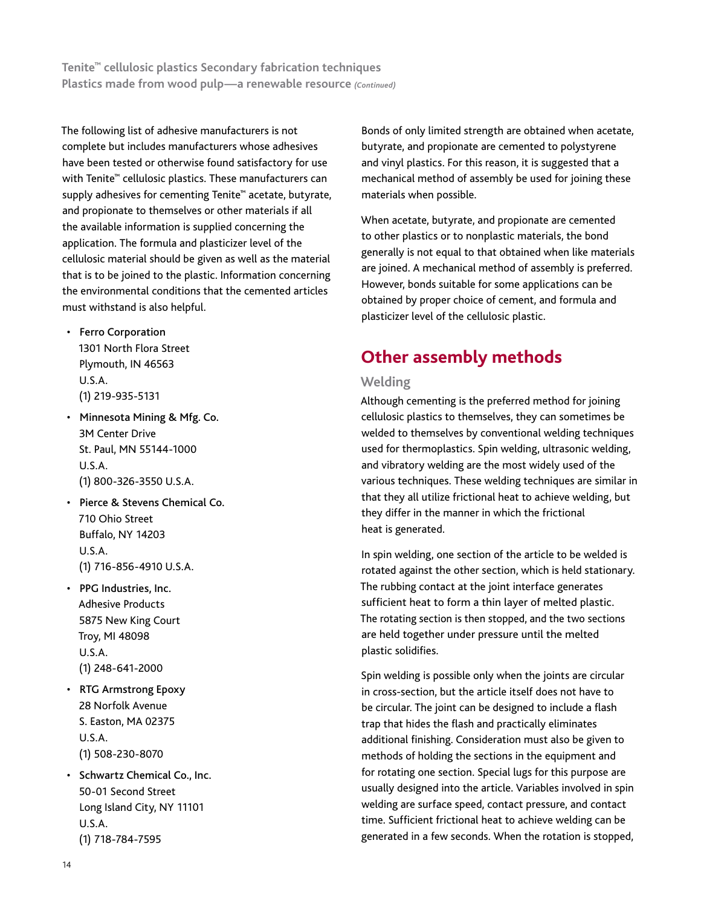The following list of adhesive manufacturers is not complete but includes manufacturers whose adhesives have been tested or otherwise found satisfactory for use with Tenite<sup>™</sup> cellulosic plastics. These manufacturers can supply adhesives for cementing Tenite™ acetate, butyrate, and propionate to themselves or other materials if all the available information is supplied concerning the application. The formula and plasticizer level of the cellulosic material should be given as well as the material that is to be joined to the plastic. Information concerning the environmental conditions that the cemented articles must withstand is also helpful.

- Ferro Corporation 1301 North Flora Street Plymouth, IN 46563 U.S.A. (1) 219-935-5131
- Minnesota Mining & Mfg. Co. 3M Center Drive St. Paul, MN 55144-1000 U.S.A. (1) 800-326-3550 U.S.A.
- Pierce & Stevens Chemical Co. 710 Ohio Street Buffalo, NY 14203 U.S.A. (1) 716-856-4910 U.S.A.
- PPG Industries, Inc. Adhesive Products 5875 New King Court Troy, MI 48098 U.S.A. (1) 248-641-2000
- RTG Armstrong Epoxy 28 Norfolk Avenue S. Easton, MA 02375 U.S.A. (1) 508-230-8070
- Schwartz Chemical Co., Inc. 50-01 Second Street Long Island City, NY 11101 U.S.A. (1) 718-784-7595

Bonds of only limited strength are obtained when acetate, butyrate, and propionate are cemented to polystyrene and vinyl plastics. For this reason, it is suggested that a mechanical method of assembly be used for joining these materials when possible.

When acetate, butyrate, and propionate are cemented to other plastics or to nonplastic materials, the bond generally is not equal to that obtained when like materials are joined. A mechanical method of assembly is preferred. However, bonds suitable for some applications can be obtained by proper choice of cement, and formula and plasticizer level of the cellulosic plastic.

# **Other assembly methods**

### **Welding**

Although cementing is the preferred method for joining cellulosic plastics to themselves, they can sometimes be welded to themselves by conventional welding techniques used for thermoplastics. Spin welding, ultrasonic welding, and vibratory welding are the most widely used of the various techniques. These welding techniques are similar in that they all utilize frictional heat to achieve welding, but they differ in the manner in which the frictional heat is generated.

In spin welding, one section of the article to be welded is rotated against the other section, which is held stationary. The rubbing contact at the joint interface generates sufficient heat to form a thin layer of melted plastic. The rotating section is then stopped, and the two sections are held together under pressure until the melted plastic solidifies.

Spin welding is possible only when the joints are circular in cross-section, but the article itself does not have to be circular. The joint can be designed to include a flash trap that hides the flash and practically eliminates additional finishing. Consideration must also be given to methods of holding the sections in the equipment and for rotating one section. Special lugs for this purpose are usually designed into the article. Variables involved in spin welding are surface speed, contact pressure, and contact time. Sufficient frictional heat to achieve welding can be generated in a few seconds. When the rotation is stopped,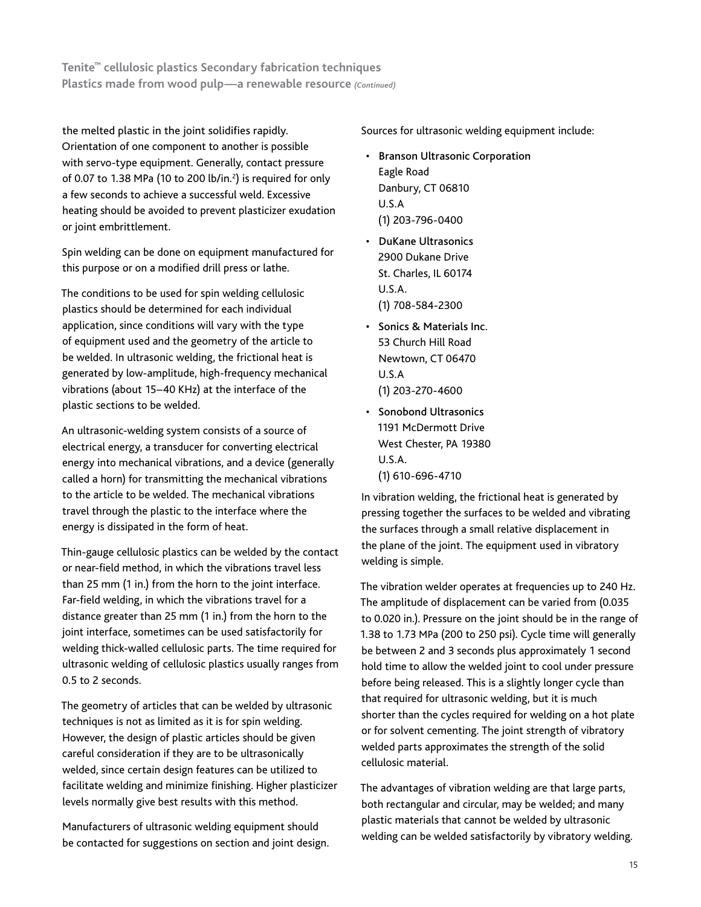the melted plastic in the joint solidifies rapidly. Orientation of one component to another is possible with servo-type equipment. Generally, contact pressure of 0.07 to 1.38 MPa (10 to 200 lb/in. $^2$ ) is required for only a few seconds to achieve a successful weld. Excessive heating should be avoided to prevent plasticizer exudation or joint embrittlement.

Spin welding can be done on equipment manufactured for this purpose or on a modified drill press or lathe.

The conditions to be used for spin welding cellulosic plastics should be determined for each individual application, since conditions will vary with the type of equipment used and the geometry of the article to be welded. In ultrasonic welding, the frictional heat is generated by low-amplitude, high-frequency mechanical vibrations (about 15–40 KHz) at the interface of the plastic sections to be welded.

An ultrasonic-welding system consists of a source of electrical energy, a transducer for converting electrical energy into mechanical vibrations, and a device (generally called a horn) for transmitting the mechanical vibrations to the article to be welded. The mechanical vibrations travel through the plastic to the interface where the energy is dissipated in the form of heat.

Thin-gauge cellulosic plastics can be welded by the contact or near-field method, in which the vibrations travel less than 25 mm (1 in.) from the horn to the joint interface. Far-field welding, in which the vibrations travel for a distance greater than 25 mm (1 in.) from the horn to the joint interface, sometimes can be used satisfactorily for welding thick-walled cellulosic parts. The time required for ultrasonic welding of cellulosic plastics usually ranges from 0.5 to 2 seconds.

The geometry of articles that can be welded by ultrasonic techniques is not as limited as it is for spin welding. However, the design of plastic articles should be given careful consideration if they are to be ultrasonically welded, since certain design features can be utilized to facilitate welding and minimize finishing. Higher plasticizer levels normally give best results with this method.

Manufacturers of ultrasonic welding equipment should be contacted for suggestions on section and joint design. Sources for ultrasonic welding equipment include:

- **Branson Ultrasonic Corporation** Eagle Road Danbury, CT 06810 U.S.A (1) 203-796-0400
- DuKane Ultrasonics 2900 Dukane Drive St. Charles, IL 60174 U.S.A. (1) 708-584-2300
- Sonics & Materials Inc. 53 Church Hill Road Newtown, CT 06470 U.S.A (1) 203-270-4600
- Sonobond Ultrasonics 1191 McDermott Drive West Chester, PA 19380 U.S.A. (1) 610-696-4710

In vibration welding, the frictional heat is generated by pressing together the surfaces to be welded and vibrating the surfaces through a small relative displacement in the plane of the joint. The equipment used in vibratory welding is simple.

The vibration welder operates at frequencies up to 240 Hz. The amplitude of displacement can be varied from (0.035 to 0.020 in.). Pressure on the joint should be in the range of 1.38 to 1.73 MPa (200 to 250 psi). Cycle time will generally be between 2 and 3 seconds plus approximately 1 second hold time to allow the welded joint to cool under pressure before being released. This is a slightly longer cycle than that required for ultrasonic welding, but it is much shorter than the cycles required for welding on a hot plate or for solvent cementing. The joint strength of vibratory welded parts approximates the strength of the solid cellulosic material.

The advantages of vibration welding are that large parts, both rectangular and circular, may be welded; and many plastic materials that cannot be welded by ultrasonic welding can be welded satisfactorily by vibratory welding.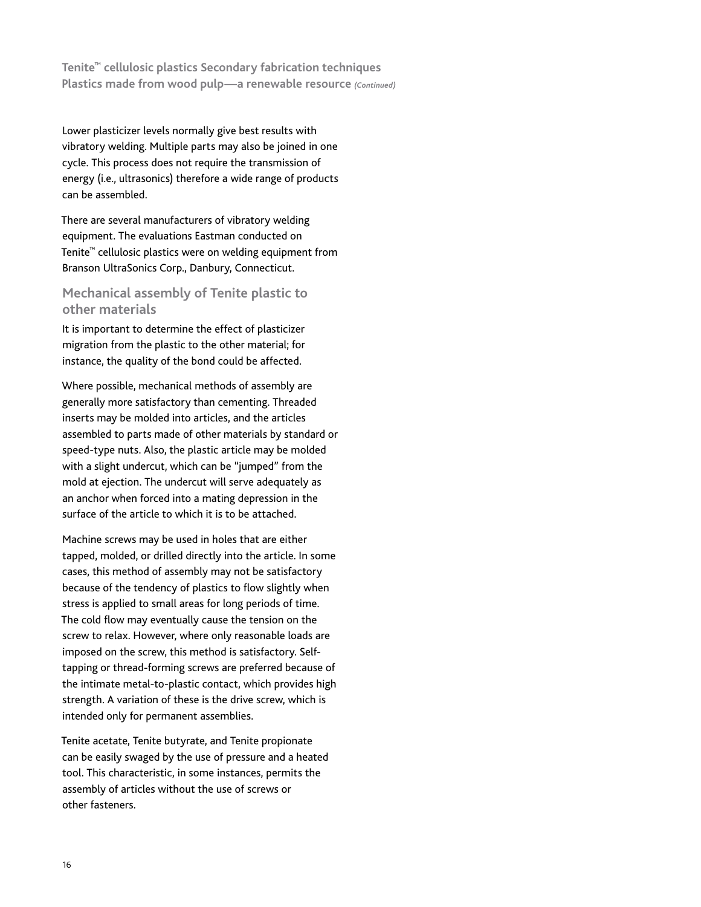Lower plasticizer levels normally give best results with vibratory welding. Multiple parts may also be joined in one cycle. This process does not require the transmission of energy (i.e., ultrasonics) therefore a wide range of products can be assembled.

There are several manufacturers of vibratory welding equipment. The evaluations Eastman conducted on Tenite™ cellulosic plastics were on welding equipment from Branson UltraSonics Corp., Danbury, Connecticut.

# **Mechanical assembly of Tenite plastic to other materials**

It is important to determine the effect of plasticizer migration from the plastic to the other material; for instance, the quality of the bond could be affected.

Where possible, mechanical methods of assembly are generally more satisfactory than cementing. Threaded inserts may be molded into articles, and the articles assembled to parts made of other materials by standard or speed-type nuts. Also, the plastic article may be molded with a slight undercut, which can be "jumped" from the mold at ejection. The undercut will serve adequately as an anchor when forced into a mating depression in the surface of the article to which it is to be attached.

Machine screws may be used in holes that are either tapped, molded, or drilled directly into the article. In some cases, this method of assembly may not be satisfactory because of the tendency of plastics to flow slightly when stress is applied to small areas for long periods of time. The cold flow may eventually cause the tension on the screw to relax. However, where only reasonable loads are imposed on the screw, this method is satisfactory. Selftapping or thread-forming screws are preferred because of the intimate metal-to-plastic contact, which provides high strength. A variation of these is the drive screw, which is intended only for permanent assemblies.

Tenite acetate, Tenite butyrate, and Tenite propionate can be easily swaged by the use of pressure and a heated tool. This characteristic, in some instances, permits the assembly of articles without the use of screws or other fasteners.